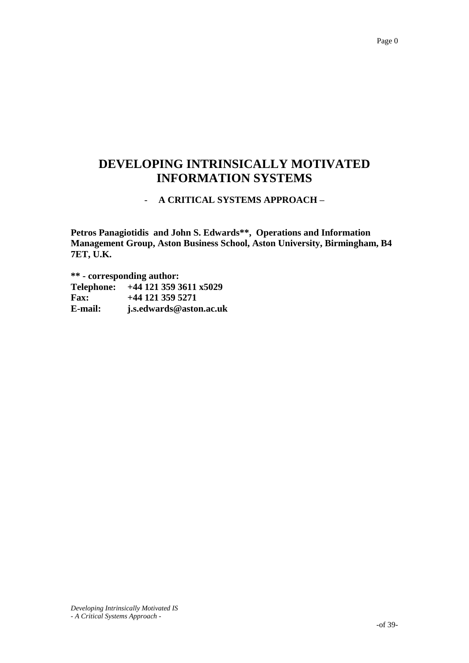## **DEVELOPING INTRINSICALLY MOTIVATED INFORMATION SYSTEMS**

### - **A CRITICAL SYSTEMS APPROACH –**

**Petros Panagiotidis and John S. Edwards\*\*, Operations and Information Management Group, Aston Business School, Aston University, Birmingham, B4 7ET, U.K.**

**\*\* - corresponding author:**

**Telephone: +44 121 359 3611 x5029 Fax: +44 121 359 5271 E-mail: j.s.edwards@aston.ac.uk**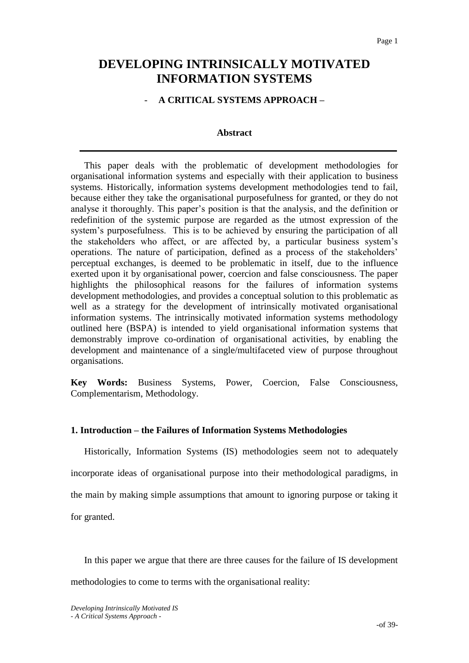### **DEVELOPING INTRINSICALLY MOTIVATED INFORMATION SYSTEMS**

### - **A CRITICAL SYSTEMS APPROACH –**

### **Abstract**

This paper deals with the problematic of development methodologies for organisational information systems and especially with their application to business systems. Historically, information systems development methodologies tend to fail, because either they take the organisational purposefulness for granted, or they do not analyse it thoroughly. This paper"s position is that the analysis, and the definition or redefinition of the systemic purpose are regarded as the utmost expression of the system"s purposefulness. This is to be achieved by ensuring the participation of all the stakeholders who affect, or are affected by, a particular business system"s operations. The nature of participation, defined as a process of the stakeholders" perceptual exchanges, is deemed to be problematic in itself, due to the influence exerted upon it by organisational power, coercion and false consciousness. The paper highlights the philosophical reasons for the failures of information systems development methodologies, and provides a conceptual solution to this problematic as well as a strategy for the development of intrinsically motivated organisational information systems. The intrinsically motivated information systems methodology outlined here (BSPA) is intended to yield organisational information systems that demonstrably improve co-ordination of organisational activities, by enabling the development and maintenance of a single/multifaceted view of purpose throughout organisations.

**Key Words:** Business Systems, Power, Coercion, False Consciousness, Complementarism, Methodology.

### **1. Introduction – the Failures of Information Systems Methodologies**

Historically, Information Systems (IS) methodologies seem not to adequately incorporate ideas of organisational purpose into their methodological paradigms, in the main by making simple assumptions that amount to ignoring purpose or taking it for granted.

In this paper we argue that there are three causes for the failure of IS development methodologies to come to terms with the organisational reality: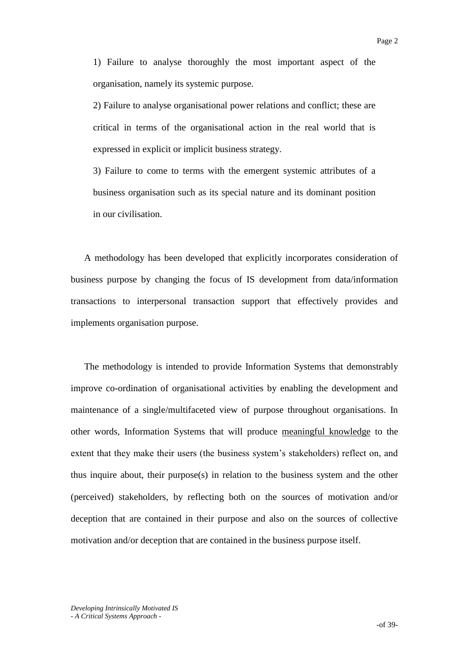1) Failure to analyse thoroughly the most important aspect of the organisation, namely its systemic purpose.

2) Failure to analyse organisational power relations and conflict; these are critical in terms of the organisational action in the real world that is expressed in explicit or implicit business strategy.

3) Failure to come to terms with the emergent systemic attributes of a business organisation such as its special nature and its dominant position in our civilisation.

A methodology has been developed that explicitly incorporates consideration of business purpose by changing the focus of IS development from data/information transactions to interpersonal transaction support that effectively provides and implements organisation purpose.

The methodology is intended to provide Information Systems that demonstrably improve co-ordination of organisational activities by enabling the development and maintenance of a single/multifaceted view of purpose throughout organisations. In other words, Information Systems that will produce meaningful knowledge to the extent that they make their users (the business system's stakeholders) reflect on, and thus inquire about, their purpose(s) in relation to the business system and the other (perceived) stakeholders, by reflecting both on the sources of motivation and/or deception that are contained in their purpose and also on the sources of collective motivation and/or deception that are contained in the business purpose itself.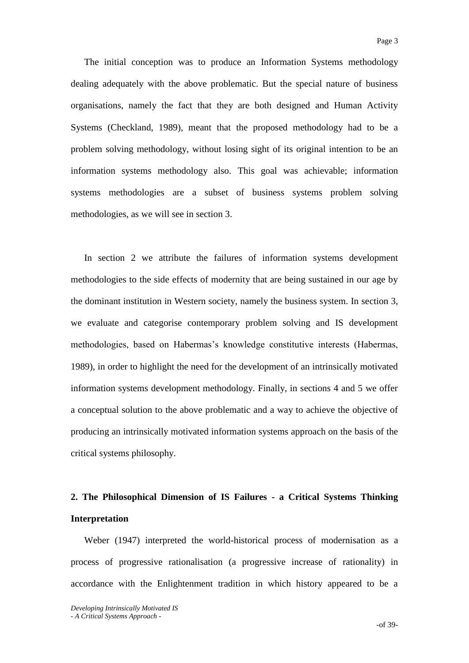The initial conception was to produce an Information Systems methodology dealing adequately with the above problematic. But the special nature of business organisations, namely the fact that they are both designed and Human Activity Systems (Checkland, 1989), meant that the proposed methodology had to be a problem solving methodology, without losing sight of its original intention to be an information systems methodology also. This goal was achievable; information systems methodologies are a subset of business systems problem solving methodologies, as we will see in section 3.

In section 2 we attribute the failures of information systems development methodologies to the side effects of modernity that are being sustained in our age by the dominant institution in Western society, namely the business system. In section 3, we evaluate and categorise contemporary problem solving and IS development methodologies, based on Habermas's knowledge constitutive interests (Habermas, 1989), in order to highlight the need for the development of an intrinsically motivated information systems development methodology. Finally, in sections 4 and 5 we offer a conceptual solution to the above problematic and a way to achieve the objective of producing an intrinsically motivated information systems approach on the basis of the critical systems philosophy.

## **2. The Philosophical Dimension of IS Failures - a Critical Systems Thinking Interpretation**

Weber (1947) interpreted the world-historical process of modernisation as a process of progressive rationalisation (a progressive increase of rationality) in accordance with the Enlightenment tradition in which history appeared to be a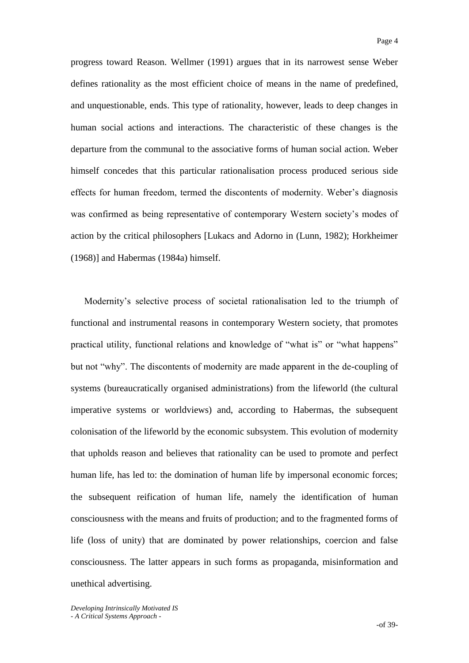progress toward Reason. Wellmer (1991) argues that in its narrowest sense Weber defines rationality as the most efficient choice of means in the name of predefined, and unquestionable, ends. This type of rationality, however, leads to deep changes in human social actions and interactions. The characteristic of these changes is the departure from the communal to the associative forms of human social action. Weber himself concedes that this particular rationalisation process produced serious side effects for human freedom, termed the discontents of modernity. Weber"s diagnosis was confirmed as being representative of contemporary Western society's modes of action by the critical philosophers [Lukacs and Adorno in (Lunn, 1982); Horkheimer (1968)] and Habermas (1984a) himself.

Modernity"s selective process of societal rationalisation led to the triumph of functional and instrumental reasons in contemporary Western society, that promotes practical utility, functional relations and knowledge of "what is" or "what happens" but not "why". The discontents of modernity are made apparent in the de-coupling of systems (bureaucratically organised administrations) from the lifeworld (the cultural imperative systems or worldviews) and, according to Habermas, the subsequent colonisation of the lifeworld by the economic subsystem. This evolution of modernity that upholds reason and believes that rationality can be used to promote and perfect human life, has led to: the domination of human life by impersonal economic forces; the subsequent reification of human life, namely the identification of human consciousness with the means and fruits of production; and to the fragmented forms of life (loss of unity) that are dominated by power relationships, coercion and false consciousness. The latter appears in such forms as propaganda, misinformation and unethical advertising.

*Developing Intrinsically Motivated IS - A Critical Systems Approach -*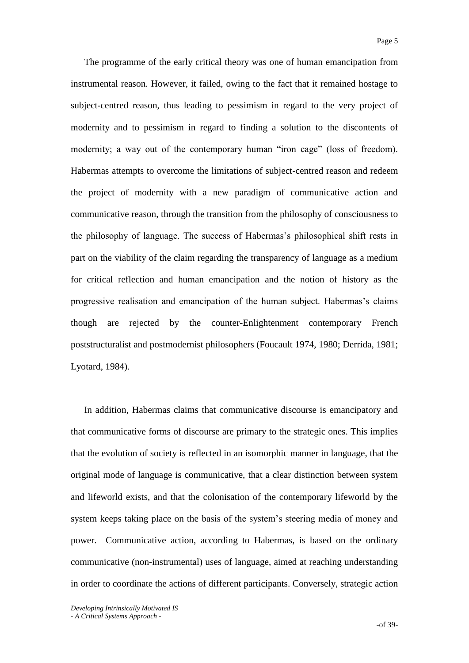The programme of the early critical theory was one of human emancipation from instrumental reason. However, it failed, owing to the fact that it remained hostage to subject-centred reason, thus leading to pessimism in regard to the very project of modernity and to pessimism in regard to finding a solution to the discontents of modernity; a way out of the contemporary human "iron cage" (loss of freedom). Habermas attempts to overcome the limitations of subject-centred reason and redeem the project of modernity with a new paradigm of communicative action and communicative reason, through the transition from the philosophy of consciousness to the philosophy of language. The success of Habermas"s philosophical shift rests in part on the viability of the claim regarding the transparency of language as a medium for critical reflection and human emancipation and the notion of history as the progressive realisation and emancipation of the human subject. Habermas"s claims though are rejected by the counter-Enlightenment contemporary French poststructuralist and postmodernist philosophers (Foucault 1974, 1980; Derrida, 1981; Lyotard, 1984).

In addition, Habermas claims that communicative discourse is emancipatory and that communicative forms of discourse are primary to the strategic ones. This implies that the evolution of society is reflected in an isomorphic manner in language, that the original mode of language is communicative, that a clear distinction between system and lifeworld exists, and that the colonisation of the contemporary lifeworld by the system keeps taking place on the basis of the system"s steering media of money and power. Communicative action, according to Habermas, is based on the ordinary communicative (non-instrumental) uses of language, aimed at reaching understanding in order to coordinate the actions of different participants. Conversely, strategic action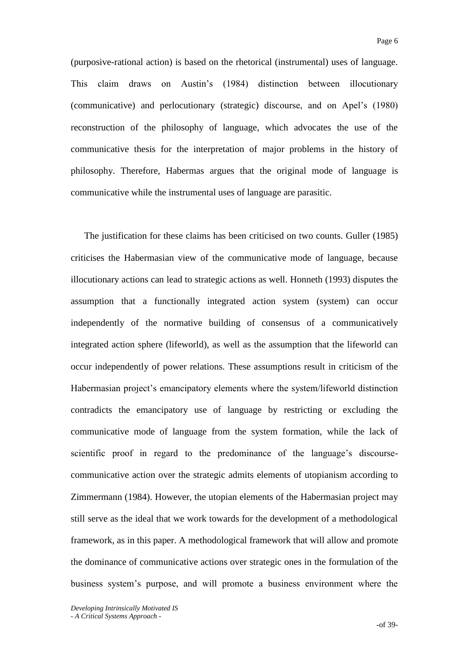(purposive-rational action) is based on the rhetorical (instrumental) uses of language. This claim draws on Austin"s (1984) distinction between illocutionary (communicative) and perlocutionary (strategic) discourse, and on Apel"s (1980) reconstruction of the philosophy of language, which advocates the use of the communicative thesis for the interpretation of major problems in the history of philosophy. Therefore, Habermas argues that the original mode of language is communicative while the instrumental uses of language are parasitic.

The justification for these claims has been criticised on two counts. Guller (1985) criticises the Habermasian view of the communicative mode of language, because illocutionary actions can lead to strategic actions as well. Honneth (1993) disputes the assumption that a functionally integrated action system (system) can occur independently of the normative building of consensus of a communicatively integrated action sphere (lifeworld), as well as the assumption that the lifeworld can occur independently of power relations. These assumptions result in criticism of the Habermasian project's emancipatory elements where the system/lifeworld distinction contradicts the emancipatory use of language by restricting or excluding the communicative mode of language from the system formation, while the lack of scientific proof in regard to the predominance of the language's discoursecommunicative action over the strategic admits elements of utopianism according to Zimmermann (1984). However, the utopian elements of the Habermasian project may still serve as the ideal that we work towards for the development of a methodological framework, as in this paper. A methodological framework that will allow and promote the dominance of communicative actions over strategic ones in the formulation of the business system"s purpose, and will promote a business environment where the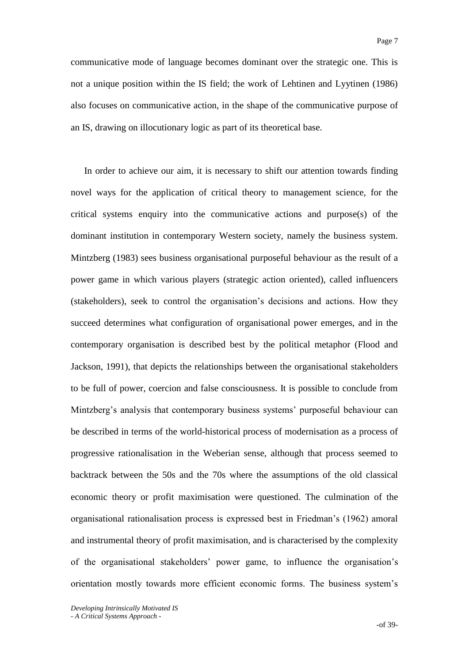communicative mode of language becomes dominant over the strategic one. This is not a unique position within the IS field; the work of Lehtinen and Lyytinen (1986) also focuses on communicative action, in the shape of the communicative purpose of an IS, drawing on illocutionary logic as part of its theoretical base.

In order to achieve our aim, it is necessary to shift our attention towards finding novel ways for the application of critical theory to management science, for the critical systems enquiry into the communicative actions and purpose(s) of the dominant institution in contemporary Western society, namely the business system. Mintzberg (1983) sees business organisational purposeful behaviour as the result of a power game in which various players (strategic action oriented), called influencers (stakeholders), seek to control the organisation"s decisions and actions. How they succeed determines what configuration of organisational power emerges, and in the contemporary organisation is described best by the political metaphor (Flood and Jackson, 1991), that depicts the relationships between the organisational stakeholders to be full of power, coercion and false consciousness. It is possible to conclude from Mintzberg's analysis that contemporary business systems' purposeful behaviour can be described in terms of the world-historical process of modernisation as a process of progressive rationalisation in the Weberian sense, although that process seemed to backtrack between the 50s and the 70s where the assumptions of the old classical economic theory or profit maximisation were questioned. The culmination of the organisational rationalisation process is expressed best in Friedman"s (1962) amoral and instrumental theory of profit maximisation, and is characterised by the complexity of the organisational stakeholders" power game, to influence the organisation"s orientation mostly towards more efficient economic forms. The business system"s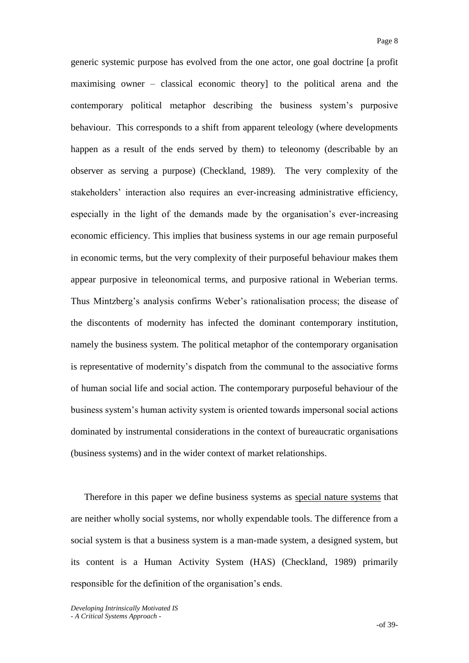generic systemic purpose has evolved from the one actor, one goal doctrine [a profit maximising owner – classical economic theory] to the political arena and the contemporary political metaphor describing the business system"s purposive behaviour. This corresponds to a shift from apparent teleology (where developments happen as a result of the ends served by them) to teleonomy (describable by an observer as serving a purpose) (Checkland, 1989). The very complexity of the stakeholders" interaction also requires an ever-increasing administrative efficiency, especially in the light of the demands made by the organisation's ever-increasing economic efficiency. This implies that business systems in our age remain purposeful in economic terms, but the very complexity of their purposeful behaviour makes them appear purposive in teleonomical terms, and purposive rational in Weberian terms. Thus Mintzberg"s analysis confirms Weber"s rationalisation process; the disease of the discontents of modernity has infected the dominant contemporary institution, namely the business system. The political metaphor of the contemporary organisation is representative of modernity"s dispatch from the communal to the associative forms of human social life and social action. The contemporary purposeful behaviour of the business system"s human activity system is oriented towards impersonal social actions dominated by instrumental considerations in the context of bureaucratic organisations (business systems) and in the wider context of market relationships.

Therefore in this paper we define business systems as special nature systems that are neither wholly social systems, nor wholly expendable tools. The difference from a social system is that a business system is a man-made system, a designed system, but its content is a Human Activity System (HAS) (Checkland, 1989) primarily responsible for the definition of the organisation's ends.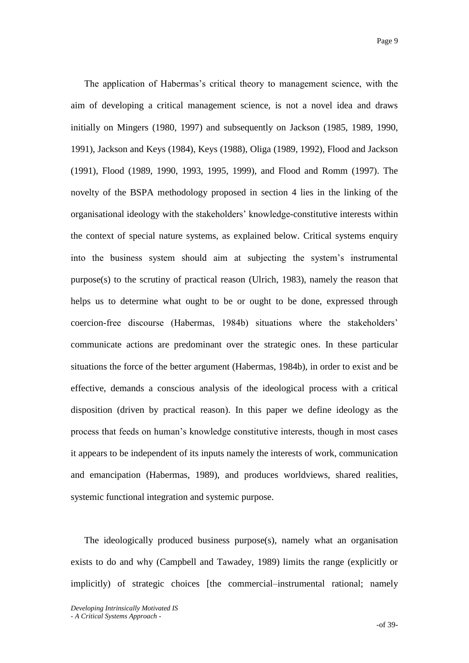The application of Habermas"s critical theory to management science, with the aim of developing a critical management science, is not a novel idea and draws initially on Mingers (1980, 1997) and subsequently on Jackson (1985, 1989, 1990, 1991), Jackson and Keys (1984), Keys (1988), Oliga (1989, 1992), Flood and Jackson (1991), Flood (1989, 1990, 1993, 1995, 1999), and Flood and Romm (1997). The novelty of the BSPA methodology proposed in section 4 lies in the linking of the organisational ideology with the stakeholders" knowledge-constitutive interests within the context of special nature systems, as explained below. Critical systems enquiry into the business system should aim at subjecting the system"s instrumental purpose(s) to the scrutiny of practical reason (Ulrich, 1983), namely the reason that helps us to determine what ought to be or ought to be done, expressed through coercion-free discourse (Habermas, 1984b) situations where the stakeholders" communicate actions are predominant over the strategic ones. In these particular situations the force of the better argument (Habermas, 1984b), in order to exist and be effective, demands a conscious analysis of the ideological process with a critical disposition (driven by practical reason). In this paper we define ideology as the process that feeds on human"s knowledge constitutive interests, though in most cases it appears to be independent of its inputs namely the interests of work, communication and emancipation (Habermas, 1989), and produces worldviews, shared realities, systemic functional integration and systemic purpose.

The ideologically produced business purpose(s), namely what an organisation exists to do and why (Campbell and Tawadey, 1989) limits the range (explicitly or implicitly) of strategic choices [the commercial–instrumental rational; namely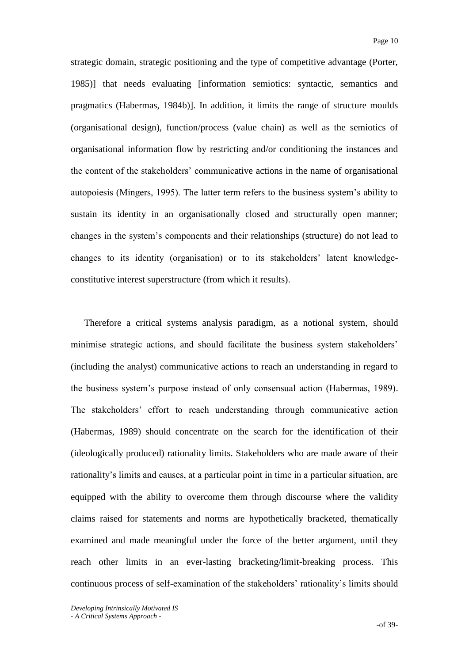strategic domain, strategic positioning and the type of competitive advantage (Porter, 1985)] that needs evaluating [information semiotics: syntactic, semantics and pragmatics (Habermas, 1984b)]. In addition, it limits the range of structure moulds (organisational design), function/process (value chain) as well as the semiotics of organisational information flow by restricting and/or conditioning the instances and the content of the stakeholders" communicative actions in the name of organisational autopoiesis (Mingers, 1995). The latter term refers to the business system"s ability to sustain its identity in an organisationally closed and structurally open manner; changes in the system"s components and their relationships (structure) do not lead to changes to its identity (organisation) or to its stakeholders' latent knowledgeconstitutive interest superstructure (from which it results).

Therefore a critical systems analysis paradigm, as a notional system, should minimise strategic actions, and should facilitate the business system stakeholders' (including the analyst) communicative actions to reach an understanding in regard to the business system"s purpose instead of only consensual action (Habermas, 1989). The stakeholders" effort to reach understanding through communicative action (Habermas, 1989) should concentrate on the search for the identification of their (ideologically produced) rationality limits. Stakeholders who are made aware of their rationality"s limits and causes, at a particular point in time in a particular situation, are equipped with the ability to overcome them through discourse where the validity claims raised for statements and norms are hypothetically bracketed, thematically examined and made meaningful under the force of the better argument, until they reach other limits in an ever-lasting bracketing/limit-breaking process. This continuous process of self-examination of the stakeholders' rationality's limits should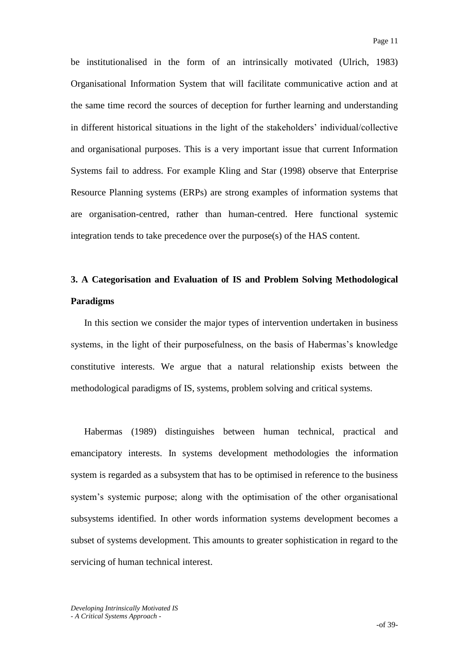be institutionalised in the form of an intrinsically motivated (Ulrich, 1983) Organisational Information System that will facilitate communicative action and at the same time record the sources of deception for further learning and understanding in different historical situations in the light of the stakeholders" individual/collective and organisational purposes. This is a very important issue that current Information Systems fail to address. For example Kling and Star (1998) observe that Enterprise Resource Planning systems (ERPs) are strong examples of information systems that are organisation-centred, rather than human-centred. Here functional systemic integration tends to take precedence over the purpose(s) of the HAS content.

# **3. A Categorisation and Evaluation of IS and Problem Solving Methodological Paradigms**

In this section we consider the major types of intervention undertaken in business systems, in the light of their purposefulness, on the basis of Habermas's knowledge constitutive interests. We argue that a natural relationship exists between the methodological paradigms of IS, systems, problem solving and critical systems.

Habermas (1989) distinguishes between human technical, practical and emancipatory interests. In systems development methodologies the information system is regarded as a subsystem that has to be optimised in reference to the business system"s systemic purpose; along with the optimisation of the other organisational subsystems identified. In other words information systems development becomes a subset of systems development. This amounts to greater sophistication in regard to the servicing of human technical interest.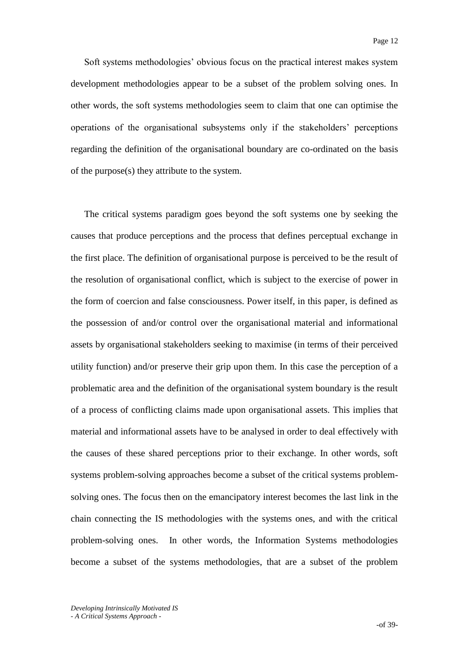Soft systems methodologies' obvious focus on the practical interest makes system development methodologies appear to be a subset of the problem solving ones. In other words, the soft systems methodologies seem to claim that one can optimise the operations of the organisational subsystems only if the stakeholders" perceptions regarding the definition of the organisational boundary are co-ordinated on the basis of the purpose(s) they attribute to the system.

The critical systems paradigm goes beyond the soft systems one by seeking the causes that produce perceptions and the process that defines perceptual exchange in the first place. The definition of organisational purpose is perceived to be the result of the resolution of organisational conflict, which is subject to the exercise of power in the form of coercion and false consciousness. Power itself, in this paper, is defined as the possession of and/or control over the organisational material and informational assets by organisational stakeholders seeking to maximise (in terms of their perceived utility function) and/or preserve their grip upon them. In this case the perception of a problematic area and the definition of the organisational system boundary is the result of a process of conflicting claims made upon organisational assets. This implies that material and informational assets have to be analysed in order to deal effectively with the causes of these shared perceptions prior to their exchange. In other words, soft systems problem-solving approaches become a subset of the critical systems problemsolving ones. The focus then on the emancipatory interest becomes the last link in the chain connecting the IS methodologies with the systems ones, and with the critical problem-solving ones. In other words, the Information Systems methodologies become a subset of the systems methodologies, that are a subset of the problem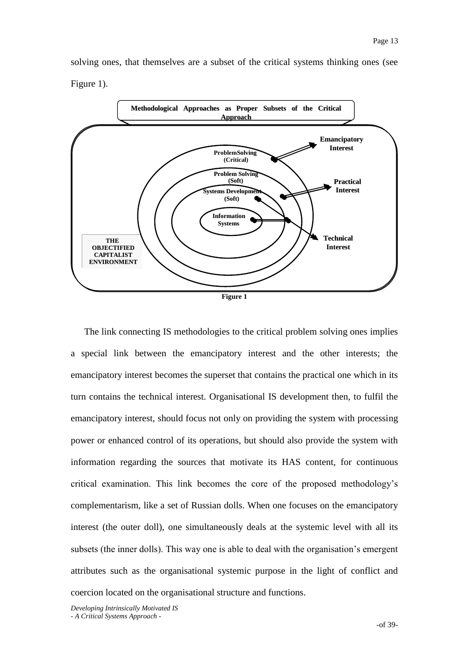solving ones, that themselves are a subset of the critical systems thinking ones (see Figure 1).



The link connecting IS methodologies to the critical problem solving ones implies a special link between the emancipatory interest and the other interests; the emancipatory interest becomes the superset that contains the practical one which in its turn contains the technical interest. Organisational IS development then, to fulfil the emancipatory interest, should focus not only on providing the system with processing power or enhanced control of its operations, but should also provide the system with information regarding the sources that motivate its HAS content, for continuous critical examination. This link becomes the core of the proposed methodology"s complementarism, like a set of Russian dolls. When one focuses on the emancipatory interest (the outer doll), one simultaneously deals at the systemic level with all its subsets (the inner dolls). This way one is able to deal with the organisation's emergent attributes such as the organisational systemic purpose in the light of conflict and coercion located on the organisational structure and functions.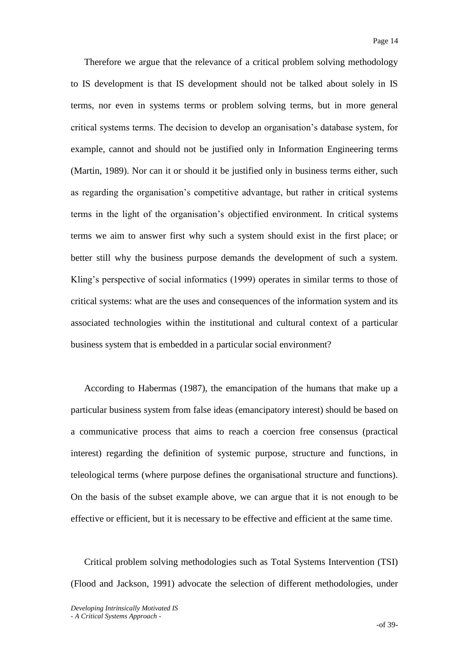Therefore we argue that the relevance of a critical problem solving methodology to IS development is that IS development should not be talked about solely in IS terms, nor even in systems terms or problem solving terms, but in more general critical systems terms. The decision to develop an organisation"s database system, for example, cannot and should not be justified only in Information Engineering terms (Martin, 1989). Nor can it or should it be justified only in business terms either, such as regarding the organisation"s competitive advantage, but rather in critical systems terms in the light of the organisation"s objectified environment. In critical systems terms we aim to answer first why such a system should exist in the first place; or better still why the business purpose demands the development of such a system. Kling's perspective of social informatics (1999) operates in similar terms to those of critical systems: what are the uses and consequences of the information system and its associated technologies within the institutional and cultural context of a particular business system that is embedded in a particular social environment?

According to Habermas (1987), the emancipation of the humans that make up a particular business system from false ideas (emancipatory interest) should be based on a communicative process that aims to reach a coercion free consensus (practical interest) regarding the definition of systemic purpose, structure and functions, in teleological terms (where purpose defines the organisational structure and functions). On the basis of the subset example above, we can argue that it is not enough to be effective or efficient, but it is necessary to be effective and efficient at the same time.

Critical problem solving methodologies such as Total Systems Intervention (TSI) (Flood and Jackson, 1991) advocate the selection of different methodologies, under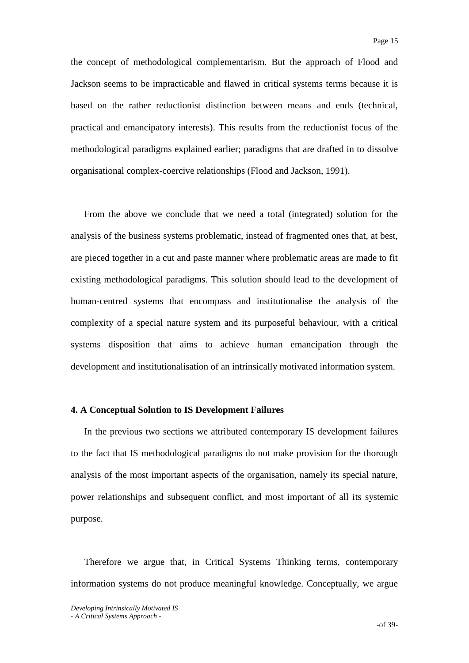the concept of methodological complementarism. But the approach of Flood and Jackson seems to be impracticable and flawed in critical systems terms because it is based on the rather reductionist distinction between means and ends (technical, practical and emancipatory interests). This results from the reductionist focus of the methodological paradigms explained earlier; paradigms that are drafted in to dissolve organisational complex-coercive relationships (Flood and Jackson, 1991).

From the above we conclude that we need a total (integrated) solution for the analysis of the business systems problematic, instead of fragmented ones that, at best, are pieced together in a cut and paste manner where problematic areas are made to fit existing methodological paradigms. This solution should lead to the development of human-centred systems that encompass and institutionalise the analysis of the complexity of a special nature system and its purposeful behaviour, with a critical systems disposition that aims to achieve human emancipation through the development and institutionalisation of an intrinsically motivated information system.

### **4. A Conceptual Solution to IS Development Failures**

In the previous two sections we attributed contemporary IS development failures to the fact that IS methodological paradigms do not make provision for the thorough analysis of the most important aspects of the organisation, namely its special nature, power relationships and subsequent conflict, and most important of all its systemic purpose.

Therefore we argue that, in Critical Systems Thinking terms, contemporary information systems do not produce meaningful knowledge. Conceptually, we argue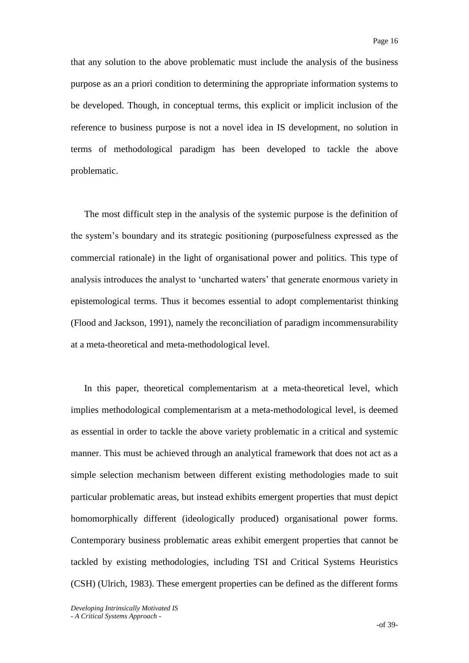that any solution to the above problematic must include the analysis of the business purpose as an a priori condition to determining the appropriate information systems to be developed. Though, in conceptual terms, this explicit or implicit inclusion of the reference to business purpose is not a novel idea in IS development, no solution in terms of methodological paradigm has been developed to tackle the above problematic.

The most difficult step in the analysis of the systemic purpose is the definition of the system"s boundary and its strategic positioning (purposefulness expressed as the commercial rationale) in the light of organisational power and politics. This type of analysis introduces the analyst to "uncharted waters" that generate enormous variety in epistemological terms. Thus it becomes essential to adopt complementarist thinking (Flood and Jackson, 1991), namely the reconciliation of paradigm incommensurability at a meta-theoretical and meta-methodological level.

In this paper, theoretical complementarism at a meta-theoretical level, which implies methodological complementarism at a meta-methodological level, is deemed as essential in order to tackle the above variety problematic in a critical and systemic manner. This must be achieved through an analytical framework that does not act as a simple selection mechanism between different existing methodologies made to suit particular problematic areas, but instead exhibits emergent properties that must depict homomorphically different (ideologically produced) organisational power forms. Contemporary business problematic areas exhibit emergent properties that cannot be tackled by existing methodologies, including TSI and Critical Systems Heuristics (CSH) (Ulrich, 1983). These emergent properties can be defined as the different forms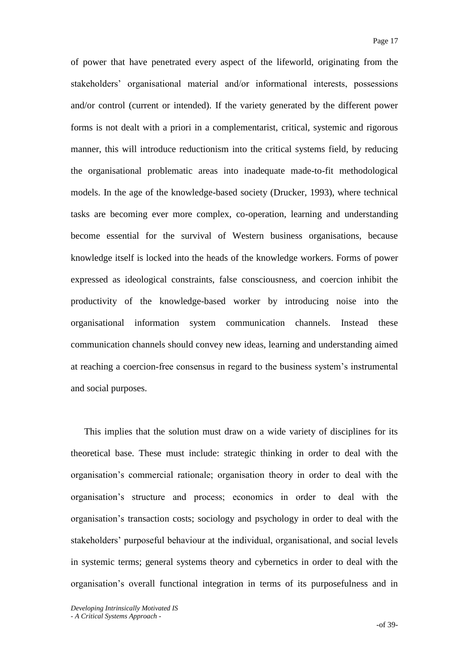of power that have penetrated every aspect of the lifeworld, originating from the stakeholders" organisational material and/or informational interests, possessions and/or control (current or intended). If the variety generated by the different power forms is not dealt with a priori in a complementarist, critical, systemic and rigorous manner, this will introduce reductionism into the critical systems field, by reducing the organisational problematic areas into inadequate made-to-fit methodological models. In the age of the knowledge-based society (Drucker, 1993), where technical tasks are becoming ever more complex, co-operation, learning and understanding become essential for the survival of Western business organisations, because knowledge itself is locked into the heads of the knowledge workers. Forms of power expressed as ideological constraints, false consciousness, and coercion inhibit the productivity of the knowledge-based worker by introducing noise into the organisational information system communication channels. Instead these communication channels should convey new ideas, learning and understanding aimed at reaching a coercion-free consensus in regard to the business system"s instrumental and social purposes.

This implies that the solution must draw on a wide variety of disciplines for its theoretical base. These must include: strategic thinking in order to deal with the organisation"s commercial rationale; organisation theory in order to deal with the organisation"s structure and process; economics in order to deal with the organisation"s transaction costs; sociology and psychology in order to deal with the stakeholders" purposeful behaviour at the individual, organisational, and social levels in systemic terms; general systems theory and cybernetics in order to deal with the organisation"s overall functional integration in terms of its purposefulness and in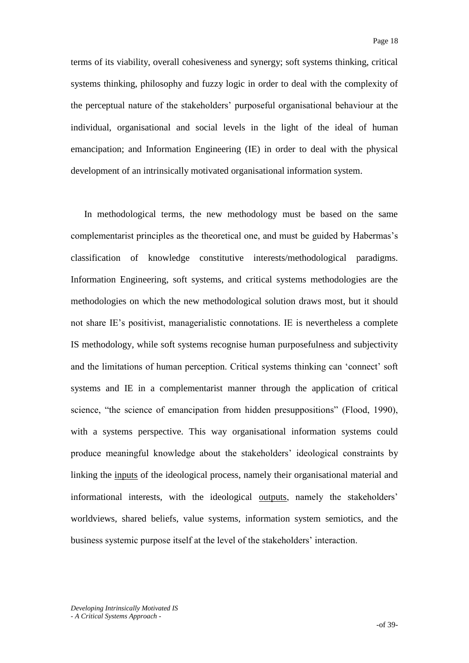terms of its viability, overall cohesiveness and synergy; soft systems thinking, critical systems thinking, philosophy and fuzzy logic in order to deal with the complexity of the perceptual nature of the stakeholders" purposeful organisational behaviour at the individual, organisational and social levels in the light of the ideal of human emancipation; and Information Engineering (IE) in order to deal with the physical development of an intrinsically motivated organisational information system.

In methodological terms, the new methodology must be based on the same complementarist principles as the theoretical one, and must be guided by Habermas"s classification of knowledge constitutive interests/methodological paradigms. Information Engineering, soft systems, and critical systems methodologies are the methodologies on which the new methodological solution draws most, but it should not share IE"s positivist, managerialistic connotations. IE is nevertheless a complete IS methodology, while soft systems recognise human purposefulness and subjectivity and the limitations of human perception. Critical systems thinking can "connect" soft systems and IE in a complementarist manner through the application of critical science, "the science of emancipation from hidden presuppositions" (Flood, 1990), with a systems perspective. This way organisational information systems could produce meaningful knowledge about the stakeholders" ideological constraints by linking the inputs of the ideological process, namely their organisational material and informational interests, with the ideological outputs, namely the stakeholders" worldviews, shared beliefs, value systems, information system semiotics, and the business systemic purpose itself at the level of the stakeholders' interaction.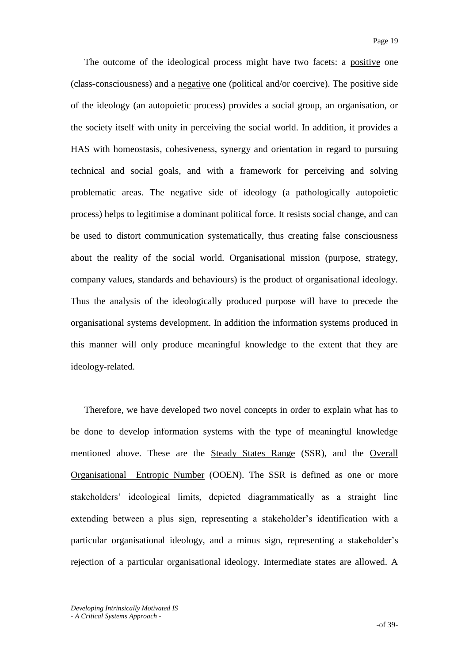The outcome of the ideological process might have two facets: a positive one (class-consciousness) and a negative one (political and/or coercive). The positive side of the ideology (an autopoietic process) provides a social group, an organisation, or the society itself with unity in perceiving the social world. In addition, it provides a HAS with homeostasis, cohesiveness, synergy and orientation in regard to pursuing technical and social goals, and with a framework for perceiving and solving problematic areas. The negative side of ideology (a pathologically autopoietic process) helps to legitimise a dominant political force. It resists social change, and can be used to distort communication systematically, thus creating false consciousness about the reality of the social world. Organisational mission (purpose, strategy, company values, standards and behaviours) is the product of organisational ideology. Thus the analysis of the ideologically produced purpose will have to precede the organisational systems development. In addition the information systems produced in this manner will only produce meaningful knowledge to the extent that they are ideology-related.

Therefore, we have developed two novel concepts in order to explain what has to be done to develop information systems with the type of meaningful knowledge mentioned above. These are the Steady States Range (SSR), and the Overall Organisational Entropic Number (OOEN). The SSR is defined as one or more stakeholders" ideological limits, depicted diagrammatically as a straight line extending between a plus sign, representing a stakeholder"s identification with a particular organisational ideology, and a minus sign, representing a stakeholder"s rejection of a particular organisational ideology. Intermediate states are allowed. A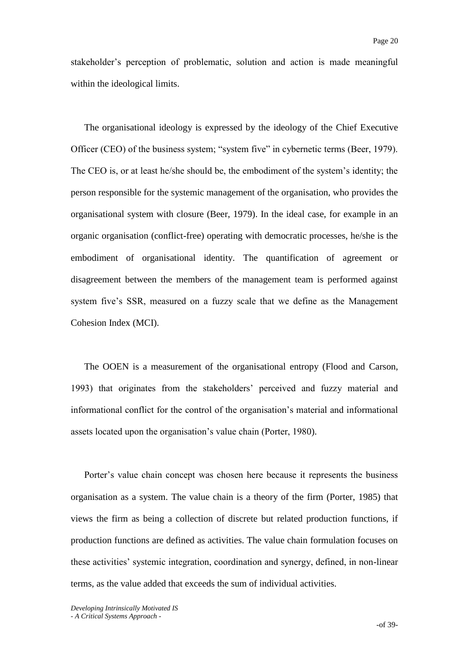stakeholder"s perception of problematic, solution and action is made meaningful within the ideological limits.

The organisational ideology is expressed by the ideology of the Chief Executive Officer (CEO) of the business system; "system five" in cybernetic terms (Beer, 1979). The CEO is, or at least he/she should be, the embodiment of the system"s identity; the person responsible for the systemic management of the organisation, who provides the organisational system with closure (Beer, 1979). In the ideal case, for example in an organic organisation (conflict-free) operating with democratic processes, he/she is the embodiment of organisational identity. The quantification of agreement or disagreement between the members of the management team is performed against system five's SSR, measured on a fuzzy scale that we define as the Management Cohesion Index (MCI).

The OOEN is a measurement of the organisational entropy (Flood and Carson, 1993) that originates from the stakeholders" perceived and fuzzy material and informational conflict for the control of the organisation"s material and informational assets located upon the organisation"s value chain (Porter, 1980).

Porter"s value chain concept was chosen here because it represents the business organisation as a system. The value chain is a theory of the firm (Porter, 1985) that views the firm as being a collection of discrete but related production functions, if production functions are defined as activities. The value chain formulation focuses on these activities" systemic integration, coordination and synergy, defined, in non-linear terms, as the value added that exceeds the sum of individual activities.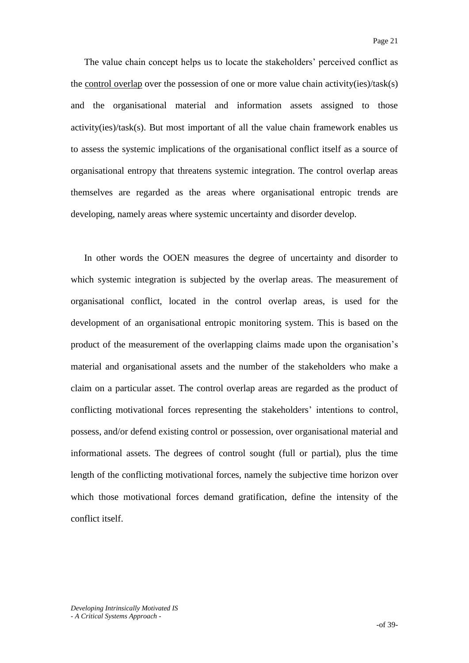The value chain concept helps us to locate the stakeholders' perceived conflict as the control overlap over the possession of one or more value chain activity(ies)/task(s) and the organisational material and information assets assigned to those activity(ies)/task(s). But most important of all the value chain framework enables us to assess the systemic implications of the organisational conflict itself as a source of organisational entropy that threatens systemic integration. The control overlap areas themselves are regarded as the areas where organisational entropic trends are developing, namely areas where systemic uncertainty and disorder develop.

In other words the OOEN measures the degree of uncertainty and disorder to which systemic integration is subjected by the overlap areas. The measurement of organisational conflict, located in the control overlap areas, is used for the development of an organisational entropic monitoring system. This is based on the product of the measurement of the overlapping claims made upon the organisation"s material and organisational assets and the number of the stakeholders who make a claim on a particular asset. The control overlap areas are regarded as the product of conflicting motivational forces representing the stakeholders' intentions to control, possess, and/or defend existing control or possession, over organisational material and informational assets. The degrees of control sought (full or partial), plus the time length of the conflicting motivational forces, namely the subjective time horizon over which those motivational forces demand gratification, define the intensity of the conflict itself.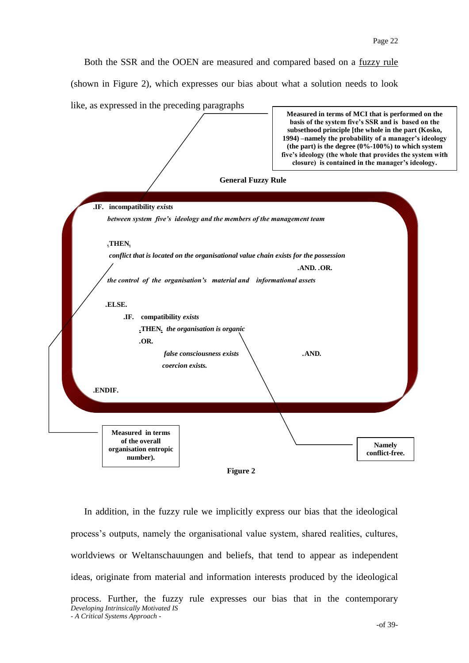Both the SSR and the OOEN are measured and compared based on a fuzzy rule

(shown in Figure 2), which expresses our bias about what a solution needs to look





*Developing Intrinsically Motivated IS - A Critical Systems Approach -* In addition, in the fuzzy rule we implicitly express our bias that the ideological process"s outputs, namely the organisational value system, shared realities, cultures, worldviews or Weltanschauungen and beliefs, that tend to appear as independent ideas, originate from material and information interests produced by the ideological process. Further, the fuzzy rule expresses our bias that in the contemporary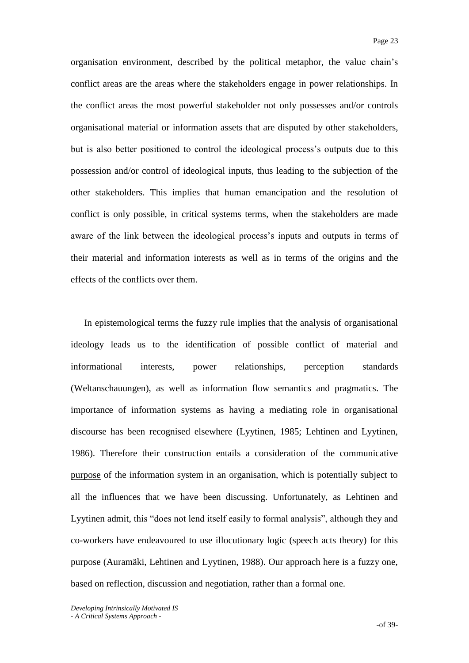organisation environment, described by the political metaphor, the value chain"s conflict areas are the areas where the stakeholders engage in power relationships. In the conflict areas the most powerful stakeholder not only possesses and/or controls organisational material or information assets that are disputed by other stakeholders, but is also better positioned to control the ideological process"s outputs due to this possession and/or control of ideological inputs, thus leading to the subjection of the other stakeholders. This implies that human emancipation and the resolution of conflict is only possible, in critical systems terms, when the stakeholders are made aware of the link between the ideological process"s inputs and outputs in terms of their material and information interests as well as in terms of the origins and the effects of the conflicts over them.

In epistemological terms the fuzzy rule implies that the analysis of organisational ideology leads us to the identification of possible conflict of material and informational interests, power relationships, perception standards (Weltanschauungen), as well as information flow semantics and pragmatics. The importance of information systems as having a mediating role in organisational discourse has been recognised elsewhere (Lyytinen, 1985; Lehtinen and Lyytinen, 1986). Therefore their construction entails a consideration of the communicative purpose of the information system in an organisation, which is potentially subject to all the influences that we have been discussing. Unfortunately, as Lehtinen and Lyytinen admit, this "does not lend itself easily to formal analysis", although they and co-workers have endeavoured to use illocutionary logic (speech acts theory) for this purpose (Auramäki, Lehtinen and Lyytinen, 1988). Our approach here is a fuzzy one, based on reflection, discussion and negotiation, rather than a formal one.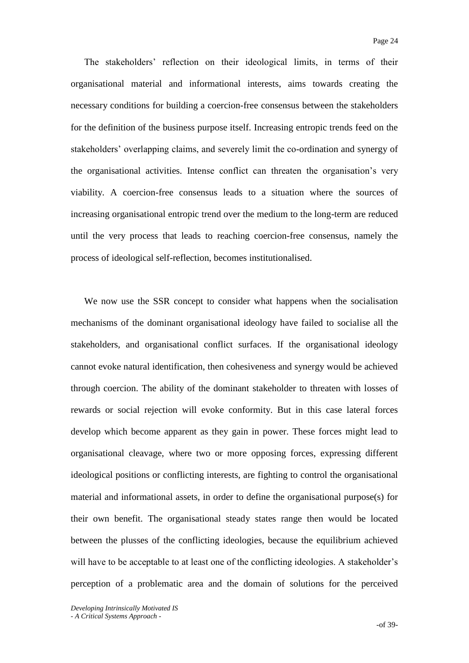The stakeholders" reflection on their ideological limits, in terms of their organisational material and informational interests, aims towards creating the necessary conditions for building a coercion-free consensus between the stakeholders for the definition of the business purpose itself. Increasing entropic trends feed on the stakeholders" overlapping claims, and severely limit the co-ordination and synergy of the organisational activities. Intense conflict can threaten the organisation"s very viability. A coercion-free consensus leads to a situation where the sources of increasing organisational entropic trend over the medium to the long-term are reduced until the very process that leads to reaching coercion-free consensus, namely the process of ideological self-reflection, becomes institutionalised.

We now use the SSR concept to consider what happens when the socialisation mechanisms of the dominant organisational ideology have failed to socialise all the stakeholders, and organisational conflict surfaces. If the organisational ideology cannot evoke natural identification, then cohesiveness and synergy would be achieved through coercion. The ability of the dominant stakeholder to threaten with losses of rewards or social rejection will evoke conformity. But in this case lateral forces develop which become apparent as they gain in power. These forces might lead to organisational cleavage, where two or more opposing forces, expressing different ideological positions or conflicting interests, are fighting to control the organisational material and informational assets, in order to define the organisational purpose(s) for their own benefit. The organisational steady states range then would be located between the plusses of the conflicting ideologies, because the equilibrium achieved will have to be acceptable to at least one of the conflicting ideologies. A stakeholder's perception of a problematic area and the domain of solutions for the perceived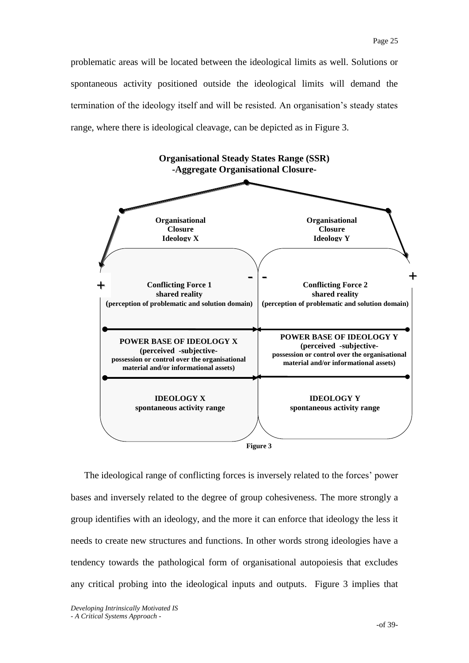problematic areas will be located between the ideological limits as well. Solutions or spontaneous activity positioned outside the ideological limits will demand the termination of the ideology itself and will be resisted. An organisation"s steady states range, where there is ideological cleavage, can be depicted as in Figure 3.



The ideological range of conflicting forces is inversely related to the forces' power bases and inversely related to the degree of group cohesiveness. The more strongly a group identifies with an ideology, and the more it can enforce that ideology the less it needs to create new structures and functions. In other words strong ideologies have a tendency towards the pathological form of organisational autopoiesis that excludes any critical probing into the ideological inputs and outputs. Figure 3 implies that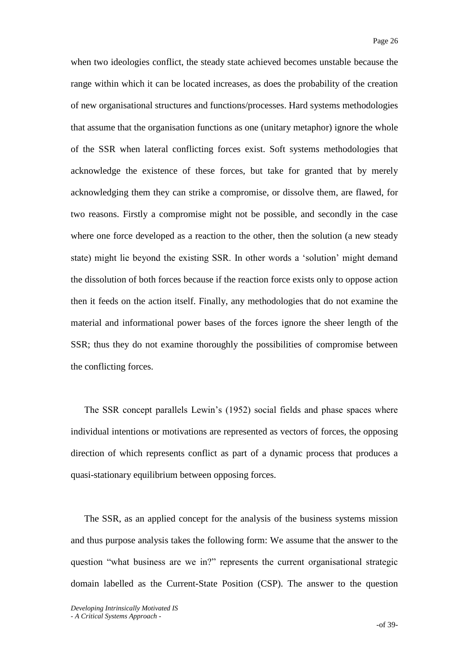when two ideologies conflict, the steady state achieved becomes unstable because the range within which it can be located increases, as does the probability of the creation of new organisational structures and functions/processes. Hard systems methodologies that assume that the organisation functions as one (unitary metaphor) ignore the whole of the SSR when lateral conflicting forces exist. Soft systems methodologies that acknowledge the existence of these forces, but take for granted that by merely acknowledging them they can strike a compromise, or dissolve them, are flawed, for two reasons. Firstly a compromise might not be possible, and secondly in the case where one force developed as a reaction to the other, then the solution (a new steady state) might lie beyond the existing SSR. In other words a "solution" might demand the dissolution of both forces because if the reaction force exists only to oppose action then it feeds on the action itself. Finally, any methodologies that do not examine the material and informational power bases of the forces ignore the sheer length of the SSR; thus they do not examine thoroughly the possibilities of compromise between the conflicting forces.

The SSR concept parallels Lewin"s (1952) social fields and phase spaces where individual intentions or motivations are represented as vectors of forces, the opposing direction of which represents conflict as part of a dynamic process that produces a quasi-stationary equilibrium between opposing forces.

The SSR, as an applied concept for the analysis of the business systems mission and thus purpose analysis takes the following form: We assume that the answer to the question "what business are we in?" represents the current organisational strategic domain labelled as the Current-State Position (CSP). The answer to the question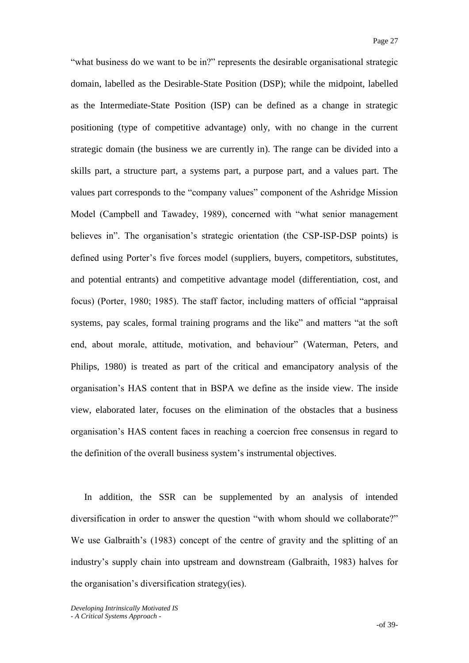"what business do we want to be in?" represents the desirable organisational strategic domain, labelled as the Desirable-State Position (DSP); while the midpoint, labelled as the Intermediate-State Position (ISP) can be defined as a change in strategic positioning (type of competitive advantage) only, with no change in the current strategic domain (the business we are currently in). The range can be divided into a skills part, a structure part, a systems part, a purpose part, and a values part. The values part corresponds to the "company values" component of the Ashridge Mission Model (Campbell and Tawadey, 1989), concerned with "what senior management believes in". The organisation's strategic orientation (the CSP-ISP-DSP points) is defined using Porter's five forces model (suppliers, buyers, competitors, substitutes, and potential entrants) and competitive advantage model (differentiation, cost, and focus) (Porter, 1980; 1985). The staff factor, including matters of official "appraisal systems, pay scales, formal training programs and the like" and matters "at the soft end, about morale, attitude, motivation, and behaviour" (Waterman, Peters, and Philips, 1980) is treated as part of the critical and emancipatory analysis of the organisation"s HAS content that in BSPA we define as the inside view. The inside view, elaborated later, focuses on the elimination of the obstacles that a business organisation"s HAS content faces in reaching a coercion free consensus in regard to the definition of the overall business system"s instrumental objectives.

In addition, the SSR can be supplemented by an analysis of intended diversification in order to answer the question "with whom should we collaborate?" We use Galbraith's (1983) concept of the centre of gravity and the splitting of an industry"s supply chain into upstream and downstream (Galbraith, 1983) halves for the organisation"s diversification strategy(ies).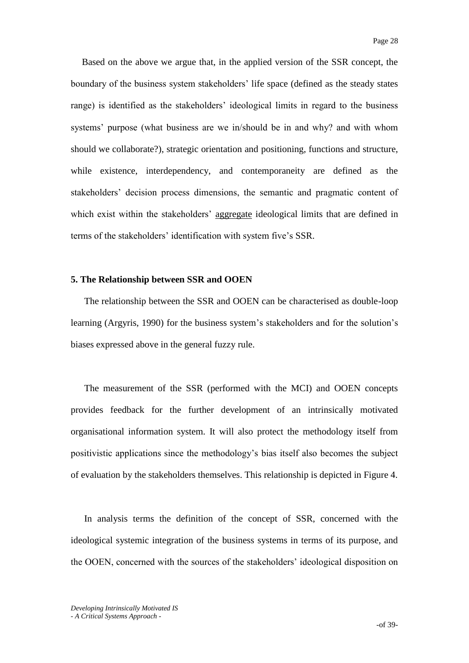Based on the above we argue that, in the applied version of the SSR concept, the boundary of the business system stakeholders" life space (defined as the steady states range) is identified as the stakeholders' ideological limits in regard to the business systems" purpose (what business are we in/should be in and why? and with whom should we collaborate?), strategic orientation and positioning, functions and structure, while existence, interdependency, and contemporaneity are defined as the stakeholders" decision process dimensions, the semantic and pragmatic content of which exist within the stakeholders' aggregate ideological limits that are defined in terms of the stakeholders" identification with system five"s SSR.

### **5. The Relationship between SSR and OOEN**

The relationship between the SSR and OOEN can be characterised as double-loop learning (Argyris, 1990) for the business system"s stakeholders and for the solution"s biases expressed above in the general fuzzy rule.

The measurement of the SSR (performed with the MCI) and OOEN concepts provides feedback for the further development of an intrinsically motivated organisational information system. It will also protect the methodology itself from positivistic applications since the methodology"s bias itself also becomes the subject of evaluation by the stakeholders themselves. This relationship is depicted in Figure 4.

In analysis terms the definition of the concept of SSR, concerned with the ideological systemic integration of the business systems in terms of its purpose, and the OOEN, concerned with the sources of the stakeholders" ideological disposition on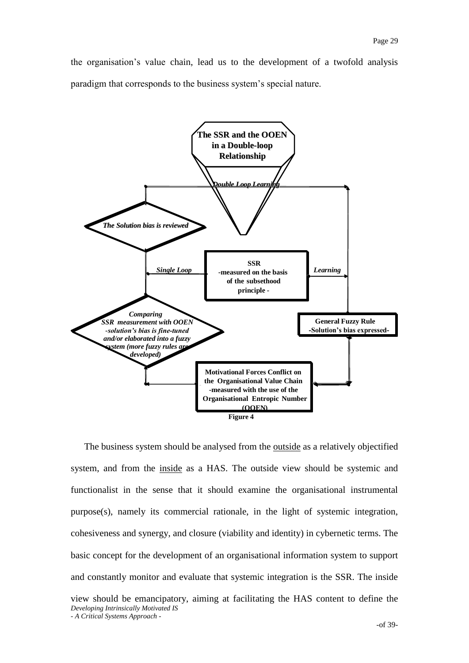the organisation"s value chain, lead us to the development of a twofold analysis paradigm that corresponds to the business system"s special nature.



*Developing Intrinsically Motivated IS* The business system should be analysed from the **outside** as a relatively objectified system, and from the inside as a HAS. The outside view should be systemic and functionalist in the sense that it should examine the organisational instrumental purpose(s), namely its commercial rationale, in the light of systemic integration, cohesiveness and synergy, and closure (viability and identity) in cybernetic terms. The basic concept for the development of an organisational information system to support and constantly monitor and evaluate that systemic integration is the SSR. The inside view should be emancipatory, aiming at facilitating the HAS content to define the

*- A Critical Systems Approach -*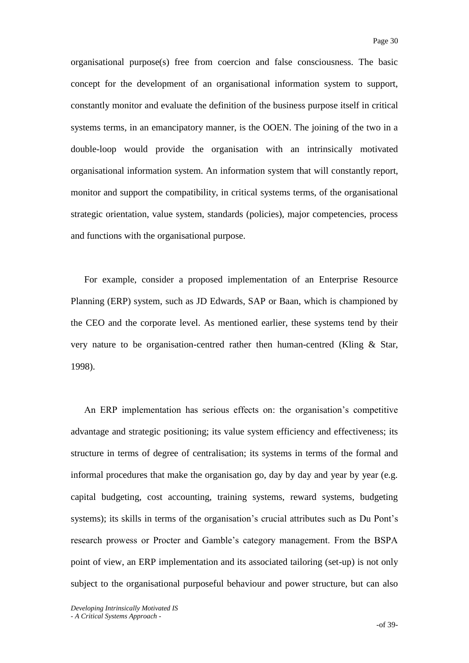organisational purpose(s) free from coercion and false consciousness. The basic concept for the development of an organisational information system to support, constantly monitor and evaluate the definition of the business purpose itself in critical systems terms, in an emancipatory manner, is the OOEN. The joining of the two in a double-loop would provide the organisation with an intrinsically motivated organisational information system. An information system that will constantly report, monitor and support the compatibility, in critical systems terms, of the organisational strategic orientation, value system, standards (policies), major competencies, process and functions with the organisational purpose.

For example, consider a proposed implementation of an Enterprise Resource Planning (ERP) system, such as JD Edwards, SAP or Baan, which is championed by the CEO and the corporate level. As mentioned earlier, these systems tend by their very nature to be organisation-centred rather then human-centred (Kling & Star, 1998).

An ERP implementation has serious effects on: the organisation"s competitive advantage and strategic positioning; its value system efficiency and effectiveness; its structure in terms of degree of centralisation; its systems in terms of the formal and informal procedures that make the organisation go, day by day and year by year (e.g. capital budgeting, cost accounting, training systems, reward systems, budgeting systems); its skills in terms of the organisation's crucial attributes such as Du Pont's research prowess or Procter and Gamble"s category management. From the BSPA point of view, an ERP implementation and its associated tailoring (set-up) is not only subject to the organisational purposeful behaviour and power structure, but can also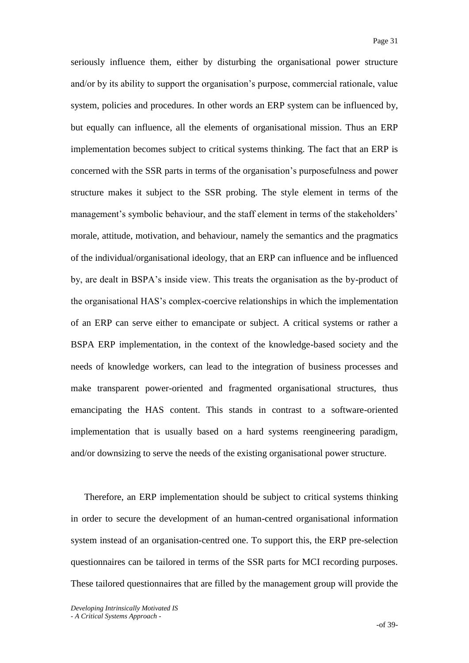seriously influence them, either by disturbing the organisational power structure and/or by its ability to support the organisation"s purpose, commercial rationale, value system, policies and procedures. In other words an ERP system can be influenced by, but equally can influence, all the elements of organisational mission. Thus an ERP implementation becomes subject to critical systems thinking. The fact that an ERP is concerned with the SSR parts in terms of the organisation"s purposefulness and power structure makes it subject to the SSR probing. The style element in terms of the management's symbolic behaviour, and the staff element in terms of the stakeholders' morale, attitude, motivation, and behaviour, namely the semantics and the pragmatics of the individual/organisational ideology, that an ERP can influence and be influenced by, are dealt in BSPA"s inside view. This treats the organisation as the by-product of the organisational HAS"s complex-coercive relationships in which the implementation of an ERP can serve either to emancipate or subject. A critical systems or rather a BSPA ERP implementation, in the context of the knowledge-based society and the needs of knowledge workers, can lead to the integration of business processes and make transparent power-oriented and fragmented organisational structures, thus emancipating the HAS content. This stands in contrast to a software-oriented implementation that is usually based on a hard systems reengineering paradigm, and/or downsizing to serve the needs of the existing organisational power structure.

Therefore, an ERP implementation should be subject to critical systems thinking in order to secure the development of an human-centred organisational information system instead of an organisation-centred one. To support this, the ERP pre-selection questionnaires can be tailored in terms of the SSR parts for MCI recording purposes. These tailored questionnaires that are filled by the management group will provide the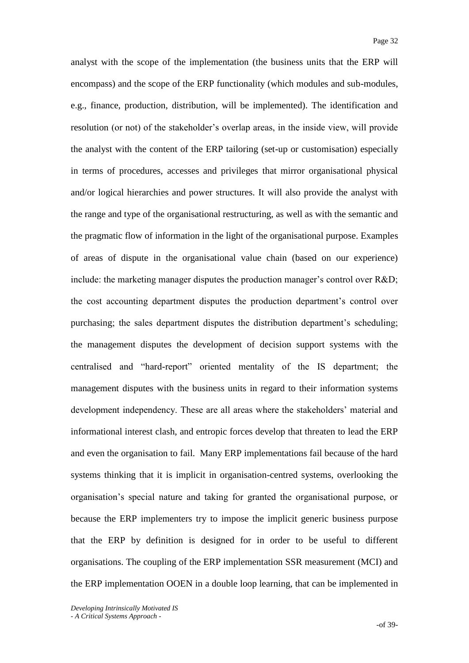analyst with the scope of the implementation (the business units that the ERP will encompass) and the scope of the ERP functionality (which modules and sub-modules, e.g., finance, production, distribution, will be implemented). The identification and resolution (or not) of the stakeholder's overlap areas, in the inside view, will provide the analyst with the content of the ERP tailoring (set-up or customisation) especially in terms of procedures, accesses and privileges that mirror organisational physical and/or logical hierarchies and power structures. It will also provide the analyst with the range and type of the organisational restructuring, as well as with the semantic and the pragmatic flow of information in the light of the organisational purpose. Examples of areas of dispute in the organisational value chain (based on our experience) include: the marketing manager disputes the production manager's control over R&D; the cost accounting department disputes the production department"s control over purchasing; the sales department disputes the distribution department's scheduling; the management disputes the development of decision support systems with the centralised and "hard-report" oriented mentality of the IS department; the management disputes with the business units in regard to their information systems development independency. These are all areas where the stakeholders' material and informational interest clash, and entropic forces develop that threaten to lead the ERP and even the organisation to fail. Many ERP implementations fail because of the hard systems thinking that it is implicit in organisation-centred systems, overlooking the organisation"s special nature and taking for granted the organisational purpose, or because the ERP implementers try to impose the implicit generic business purpose that the ERP by definition is designed for in order to be useful to different organisations. The coupling of the ERP implementation SSR measurement (MCI) and the ERP implementation OOEN in a double loop learning, that can be implemented in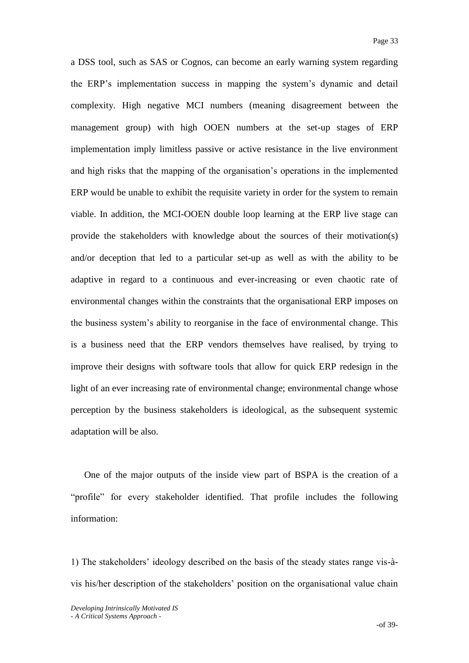a DSS tool, such as SAS or Cognos, can become an early warning system regarding the ERP"s implementation success in mapping the system"s dynamic and detail complexity. High negative MCI numbers (meaning disagreement between the management group) with high OOEN numbers at the set-up stages of ERP implementation imply limitless passive or active resistance in the live environment and high risks that the mapping of the organisation's operations in the implemented ERP would be unable to exhibit the requisite variety in order for the system to remain viable. In addition, the MCI-OOEN double loop learning at the ERP live stage can provide the stakeholders with knowledge about the sources of their motivation(s) and/or deception that led to a particular set-up as well as with the ability to be adaptive in regard to a continuous and ever-increasing or even chaotic rate of environmental changes within the constraints that the organisational ERP imposes on the business system"s ability to reorganise in the face of environmental change. This is a business need that the ERP vendors themselves have realised, by trying to improve their designs with software tools that allow for quick ERP redesign in the light of an ever increasing rate of environmental change; environmental change whose perception by the business stakeholders is ideological, as the subsequent systemic adaptation will be also.

One of the major outputs of the inside view part of BSPA is the creation of a "profile" for every stakeholder identified. That profile includes the following information:

1) The stakeholders" ideology described on the basis of the steady states range vis-àvis his/her description of the stakeholders" position on the organisational value chain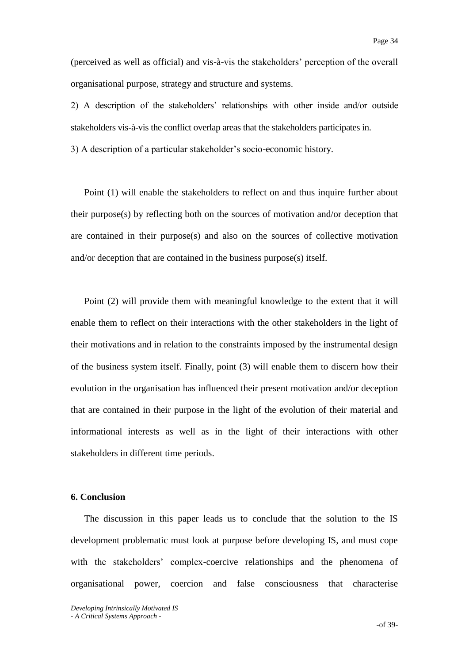(perceived as well as official) and vis-à-vis the stakeholders" perception of the overall organisational purpose, strategy and structure and systems.

2) A description of the stakeholders' relationships with other inside and/or outside stakeholders vis-à-vis the conflict overlap areas that the stakeholders participates in.

3) A description of a particular stakeholder"s socio-economic history.

Point (1) will enable the stakeholders to reflect on and thus inquire further about their purpose(s) by reflecting both on the sources of motivation and/or deception that are contained in their purpose(s) and also on the sources of collective motivation and/or deception that are contained in the business purpose(s) itself.

Point (2) will provide them with meaningful knowledge to the extent that it will enable them to reflect on their interactions with the other stakeholders in the light of their motivations and in relation to the constraints imposed by the instrumental design of the business system itself. Finally, point (3) will enable them to discern how their evolution in the organisation has influenced their present motivation and/or deception that are contained in their purpose in the light of the evolution of their material and informational interests as well as in the light of their interactions with other stakeholders in different time periods.

### **6. Conclusion**

The discussion in this paper leads us to conclude that the solution to the IS development problematic must look at purpose before developing IS, and must cope with the stakeholders' complex-coercive relationships and the phenomena of organisational power, coercion and false consciousness that characterise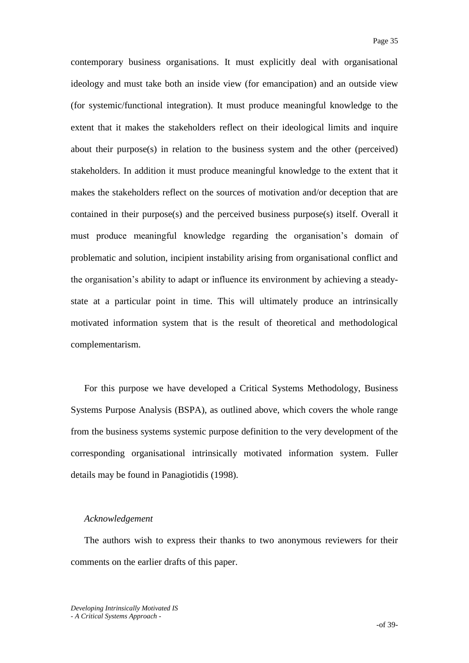contemporary business organisations. It must explicitly deal with organisational ideology and must take both an inside view (for emancipation) and an outside view (for systemic/functional integration). It must produce meaningful knowledge to the extent that it makes the stakeholders reflect on their ideological limits and inquire about their purpose(s) in relation to the business system and the other (perceived) stakeholders. In addition it must produce meaningful knowledge to the extent that it makes the stakeholders reflect on the sources of motivation and/or deception that are contained in their purpose(s) and the perceived business purpose(s) itself. Overall it must produce meaningful knowledge regarding the organisation's domain of problematic and solution, incipient instability arising from organisational conflict and the organisation"s ability to adapt or influence its environment by achieving a steadystate at a particular point in time. This will ultimately produce an intrinsically motivated information system that is the result of theoretical and methodological complementarism.

For this purpose we have developed a Critical Systems Methodology, Business Systems Purpose Analysis (BSPA), as outlined above, which covers the whole range from the business systems systemic purpose definition to the very development of the corresponding organisational intrinsically motivated information system. Fuller details may be found in Panagiotidis (1998).

#### *Acknowledgement*

The authors wish to express their thanks to two anonymous reviewers for their comments on the earlier drafts of this paper.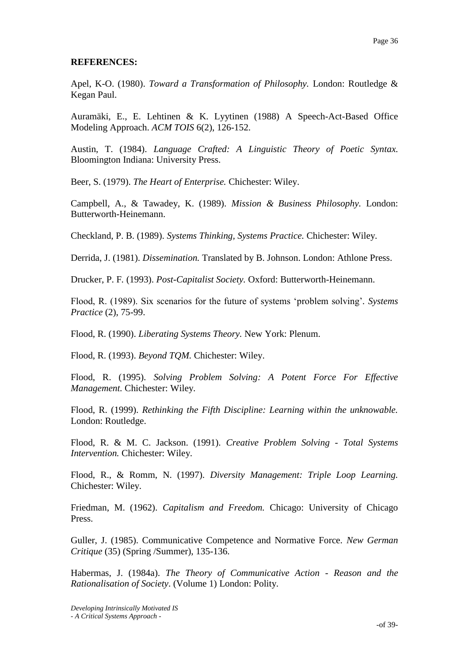### **REFERENCES:**

Apel, K-O. (1980). *Toward a Transformation of Philosophy.* London: Routledge & Kegan Paul.

Auramäki, E., E. Lehtinen & K. Lyytinen (1988) A Speech-Act-Based Office Modeling Approach. *ACM TOIS* 6(2), 126-152.

Austin, T. (1984). *Language Crafted: A Linguistic Theory of Poetic Syntax.* Bloomington Indiana: University Press.

Beer, S. (1979). *The Heart of Enterprise.* Chichester: Wiley.

Campbell, A., & Tawadey, K. (1989). *Mission & Business Philosophy.* London: Butterworth-Heinemann.

Checkland, P. B. (1989). *Systems Thinking, Systems Practice.* Chichester: Wiley.

Derrida, J. (1981). *Dissemination.* Translated by B. Johnson. London: Athlone Press.

Drucker, P. F*.* (1993). *Post-Capitalist Society.* Oxford: Butterworth-Heinemann.

Flood, R. (1989). Six scenarios for the future of systems "problem solving"*. Systems Practice* (2), 75-99.

Flood, R. (1990). *Liberating Systems Theory.* New York: Plenum.

Flood, R. (1993). *Beyond TQM.* Chichester: Wiley.

Flood, R. (1995). *Solving Problem Solving: A Potent Force For Effective Management.* Chichester: Wiley.

Flood, R. (1999). *Rethinking the Fifth Discipline: Learning within the unknowable.* London: Routledge.

Flood, R. & M. C. Jackson. (1991). *Creative Problem Solving - Total Systems Intervention.* Chichester: Wiley.

Flood, R., & Romm, N. (1997). *Diversity Management: Triple Loop Learning.* Chichester: Wiley.

Friedman, M. (1962). *Capitalism and Freedom.* Chicago: University of Chicago Press.

Guller, J. (1985). Communicative Competence and Normative Force*. New German Critique* (35) (Spring /Summer), 135-136.

Habermas, J. (1984a). *The Theory of Communicative Action - Reason and the Rationalisation of Society*. (Volume 1) London: Polity.

*Developing Intrinsically Motivated IS - A Critical Systems Approach -*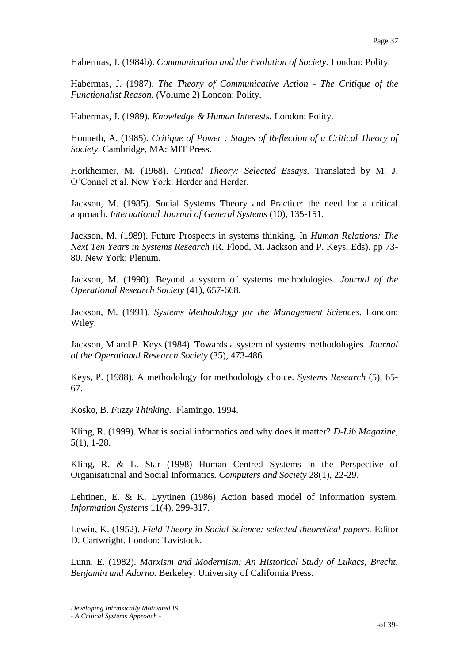Habermas, J. (1984b). *Communication and the Evolution of Society.* London: Polity.

Habermas, J. (1987). *The Theory of Communicative Action - The Critique of the Functionalist Reason.* (Volume 2) London: Polity.

Habermas, J. (1989). *Knowledge & Human Interests.* London: Polity.

Honneth, A. (1985). *Critique of Power : Stages of Reflection of a Critical Theory of Society.* Cambridge, MA: MIT Press.

Horkheimer, M. (1968). *Critical Theory: Selected Essays.* Translated by M. J. O"Connel et al. New York: Herder and Herder.

Jackson, M. (1985). Social Systems Theory and Practice: the need for a critical approach. *International Journal of General Systems* (10), 135-151.

Jackson, M. (1989). Future Prospects in systems thinking. In *Human Relations: The Next Ten Years in Systems Research* (R. Flood, M. Jackson and P. Keys, Eds). pp 73- 80. New York: Plenum.

Jackson, M. (1990). Beyond a system of systems methodologies*. Journal of the Operational Research Society* (41), 657-668.

Jackson, M. (1991). *Systems Methodology for the Management Sciences.* London: Wiley.

Jackson, M and P. Keys (1984). Towards a system of systems methodologies*. Journal of the Operational Research Society* (35), 473-486.

Keys, P. (1988). A methodology for methodology choice. *Systems Research* (5), 65- 67.

Kosko, B. *Fuzzy Thinking.* Flamingo, 1994.

Kling, R. (1999). What is social informatics and why does it matter? *D-Lib Magazine*, 5(1), 1-28.

Kling, R. & L. Star (1998) Human Centred Systems in the Perspective of Organisational and Social Informatics*. Computers and Society* 28(1), 22-29.

Lehtinen, E. & K. Lyytinen (1986) Action based model of information system. *Information Systems* 11(4), 299-317.

Lewin, K. (1952). *Field Theory in Social Science: selected theoretical papers.* Editor D. Cartwright. London: Tavistock.

Lunn, E. (1982). *Marxism and Modernism: An Historical Study of Lukacs, Brecht, Benjamin and Adorno.* Berkeley: University of California Press.